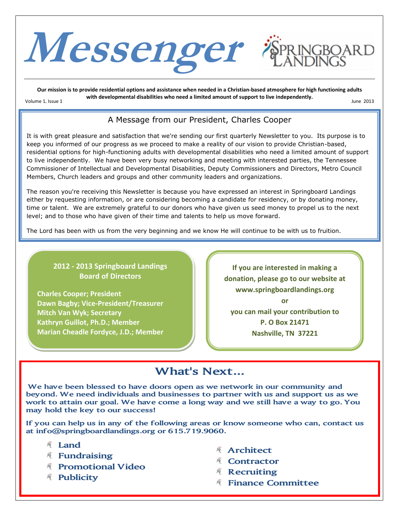

**Our mission is to provide residential options and assistance when needed in a Christian-based atmosphere for high functioning adults with developmental disabilities who need a limited amount of support to live independently.** Volume 1, Issue 1 June 2013

### A Message from our President, Charles Cooper

It is with great pleasure and satisfaction that we're sending our first quarterly Newsletter to you. Its purpose is to keep you informed of our progress as we proceed to make a reality of our vision to provide Christian-based, residential options for high-functioning adults with developmental disabilities who need a limited amount of support to live independently. We have been very busy networking and meeting with interested parties, the Tennessee Commissioner of Intellectual and Developmental Disabilities, Deputy Commissioners and Directors, Metro Council Members, Church leaders and groups and other community leaders and organizations.

The reason you're receiving this Newsletter is because you have expressed an interest in Springboard Landings either by requesting information, or are considering becoming a candidate for residency, or by donating money, time or talent. We are extremely grateful to our donors who have given us seed money to propel us to the next level; and to those who have given of their time and talents to help us move forward.

The Lord has been with us from the very beginning and we know He will continue to be with us to fruition.

#### **2012 - 2013 Springboard Landings Board of Directors**

**Charles Cooper; President Dawn Bagby; Vice-President/Treasurer Mitch Van Wyk; Secretary Kathryn Guillot, Ph.D.; Member Marian Cheadle Fordyce, J.D.; Member**

**If you are interested in making a donation, please go to our website at www.springboardlandings.org or you can mail your contribution to P. O Box 21471**

**Nashville, TN 37221**

# **What's Next...**

**We have been blessed to have doors open as we network in our community and beyond. We need individuals and businesses to partner with us and support us as we work to attain our goal. We have come a long way and we still have a way to go. You may hold the key to our success!** 

**If you can help us in any of the following areas or know someone who can, contact us at info@springboardlandings.org or 615.719.9060.**

- **Land**
- **Fundraising**
- **Promotional Video**
- **Publicity**
- **Architect**
- **Contractor**
- **Recruiting**
- **Finance Committee**